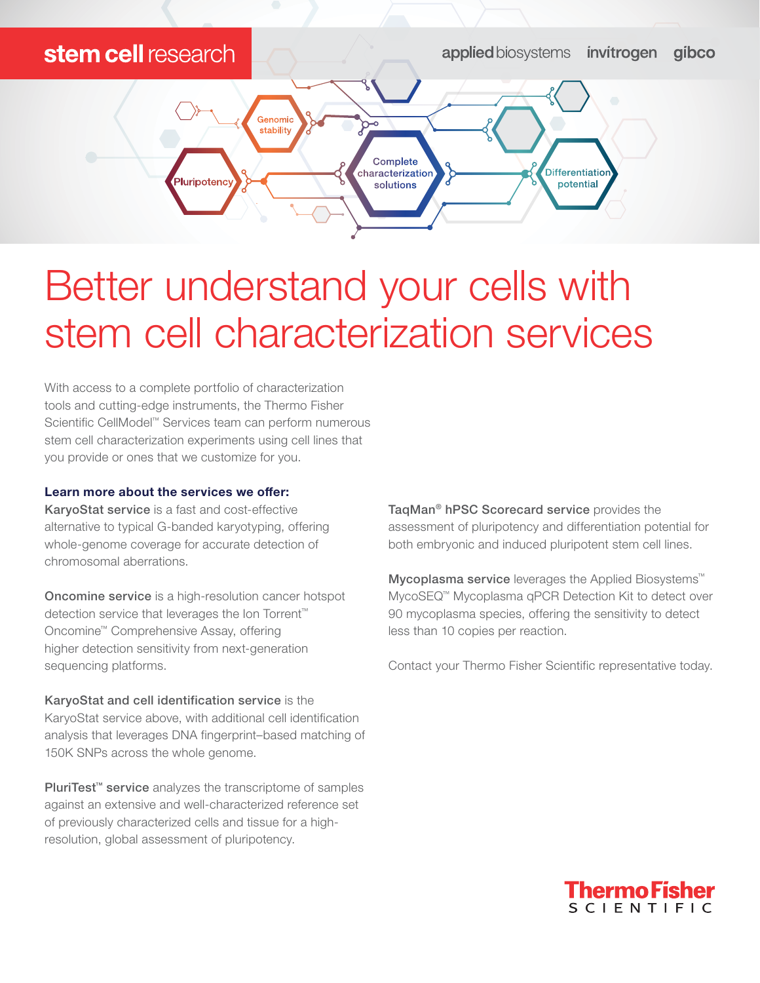## stem cell research

**applied** biosystems invitrogen gibco



## Better understand your cells with stem cell characterization services

With access to a complete portfolio of characterization tools and cutting-edge instruments, the Thermo Fisher Scientific CellModel™ Services team can perform numerous stem cell characterization experiments using cell lines that you provide or ones that we customize for you.

## Learn more about the services we offer:

KaryoStat service is a fast and cost-effective alternative to typical G-banded karyotyping, offering whole-genome coverage for accurate detection of chromosomal aberrations.

Oncomine service is a high-resolution cancer hotspot detection service that leverages the Ion Torrent™ Oncomine™ Comprehensive Assay, offering higher detection sensitivity from next-generation sequencing platforms.

KaryoStat and cell identification service is the KaryoStat service above, with additional cell identification analysis that leverages DNA fingerprint–based matching of 150K SNPs across the whole genome.

PluriTest<sup>™</sup> service analyzes the transcriptome of samples against an extensive and well-characterized reference set of previously characterized cells and tissue for a highresolution, global assessment of pluripotency.

TaqMan® hPSC Scorecard service provides the assessment of pluripotency and differentiation potential for both embryonic and induced pluripotent stem cell lines.

Mycoplasma service leverages the Applied Biosystems<sup>™</sup> MycoSEQ™ Mycoplasma qPCR Detection Kit to detect over 90 mycoplasma species, offering the sensitivity to detect less than 10 copies per reaction.

Contact your Thermo Fisher Scientific representative today.